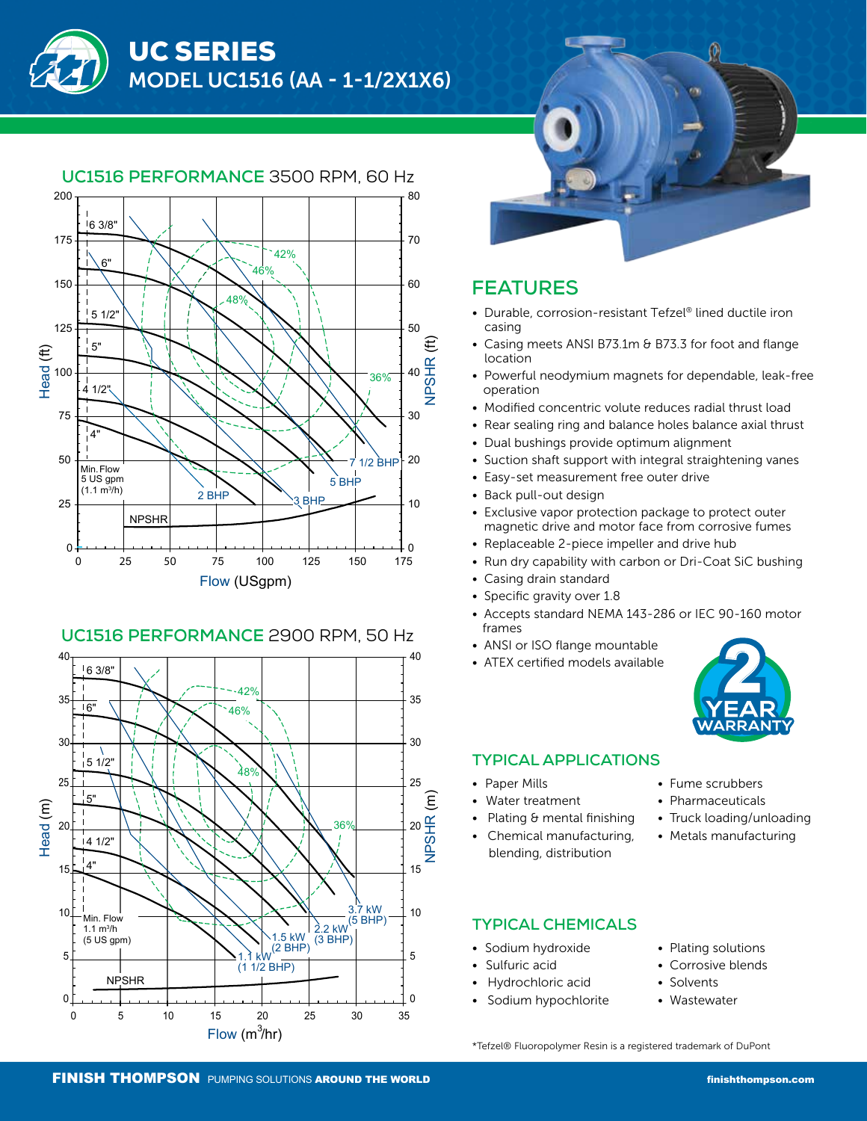



## **UC1516 PERFORMANCE** 2900 RPM, 50 Hz





# **FEATURES**

- Durable, corrosion-resistant Tefzel® lined ductile iron casing
- Casing meets ANSI B73.1m & B73.3 for foot and flange location
- Powerful neodymium magnets for dependable, leak-free operation
- Modified concentric volute reduces radial thrust load
- Rear sealing ring and balance holes balance axial thrust
- Dual bushings provide optimum alignment
- Suction shaft support with integral straightening vanes
- Easy-set measurement free outer drive
- Back pull-out design
- Exclusive vapor protection package to protect outer magnetic drive and motor face from corrosive fumes
- Replaceable 2-piece impeller and drive hub
- Run dry capability with carbon or Dri-Coat SiC bushing
- Casing drain standard
- Specific gravity over 1.8
- Accepts standard NEMA 143-286 or IEC 90-160 motor frames
- ANSI or ISO flange mountable
- ATEX certified models available



### **TYPICAL APPLICATIONS**

- Paper Mills
- Water treatment
- Plating & mental finishing
- Chemical manufacturing, blending, distribution
- Fume scrubbers
- Pharmaceuticals
- Truck loading/unloading
- Metals manufacturing

## **TYPICAL CHEMICALS**

- Sodium hydroxide
- Sulfuric acid
- Hydrochloric acid
- Sodium hypochlorite
- Plating solutions
- Corrosive blends
- Solvents
- Wastewater

\*Tefzel® Fluoropolymer Resin is a registered trademark of DuPont